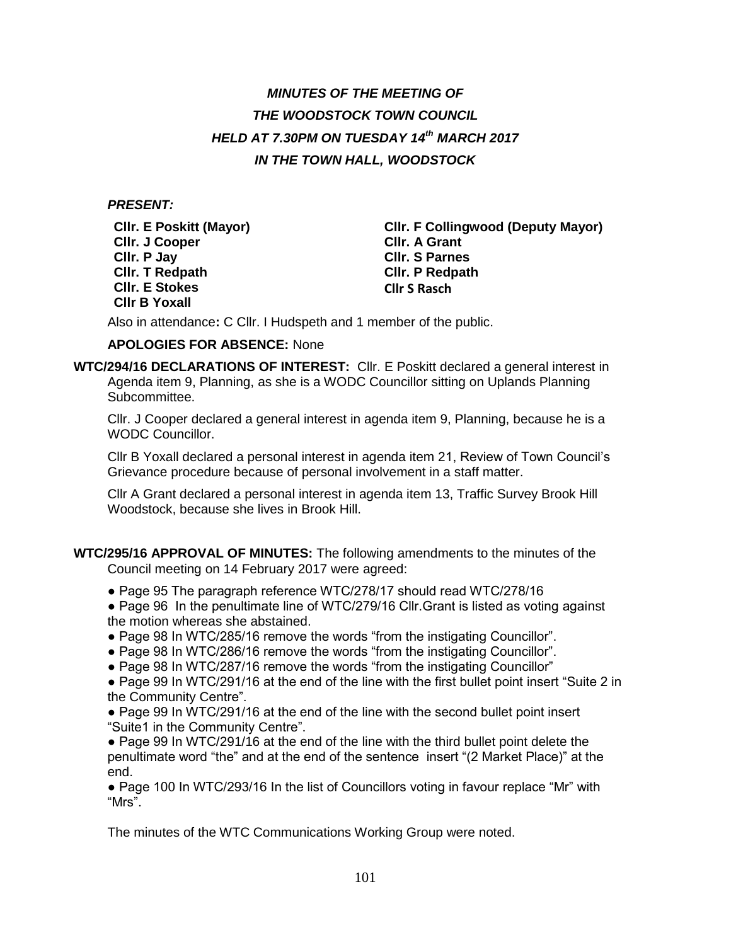# *MINUTES OF THE MEETING OF THE WOODSTOCK TOWN COUNCIL HELD AT 7.30PM ON TUESDAY 14th MARCH 2017 IN THE TOWN HALL, WOODSTOCK*

#### *PRESENT:*

**Cllr. J Cooper Cllr. A Grant Cllr. P Jay Cllr. S Parnes Cllr. T Redpath Cllr. P Redpath Cllr. E Stokes Cllr B Yoxall**

**Cllr. E Poskitt (Mayor) Cllr. F Collingwood (Deputy Mayor) Cllr S Rasch** 

Also in attendance**:** C Cllr. I Hudspeth and 1 member of the public.

### **APOLOGIES FOR ABSENCE:** None

**WTC/294/16 DECLARATIONS OF INTEREST:** Cllr. E Poskitt declared a general interest in Agenda item 9, Planning, as she is a WODC Councillor sitting on Uplands Planning Subcommittee.

Cllr. J Cooper declared a general interest in agenda item 9, Planning, because he is a WODC Councillor.

Cllr B Yoxall declared a personal interest in agenda item 21, Review of Town Council's Grievance procedure because of personal involvement in a staff matter.

Cllr A Grant declared a personal interest in agenda item 13, Traffic Survey Brook Hill Woodstock, because she lives in Brook Hill.

**WTC/295/16 APPROVAL OF MINUTES:** The following amendments to the minutes of the Council meeting on 14 February 2017 were agreed:

● Page 95 The paragraph reference WTC/278/17 should read WTC/278/16

● Page 96 In the penultimate line of WTC/279/16 Cllr. Grant is listed as voting against the motion whereas she abstained.

- Page 98 In WTC/285/16 remove the words "from the instigating Councillor".
- Page 98 In WTC/286/16 remove the words "from the instigating Councillor".

• Page 98 In WTC/287/16 remove the words "from the instigating Councillor"

● Page 99 In WTC/291/16 at the end of the line with the first bullet point insert "Suite 2 in the Community Centre".

● Page 99 In WTC/291/16 at the end of the line with the second bullet point insert "Suite1 in the Community Centre".

● Page 99 In WTC/291/16 at the end of the line with the third bullet point delete the penultimate word "the" and at the end of the sentence insert "(2 Market Place)" at the end.

● Page 100 In WTC/293/16 In the list of Councillors voting in favour replace "Mr" with "Mrs".

The minutes of the WTC Communications Working Group were noted.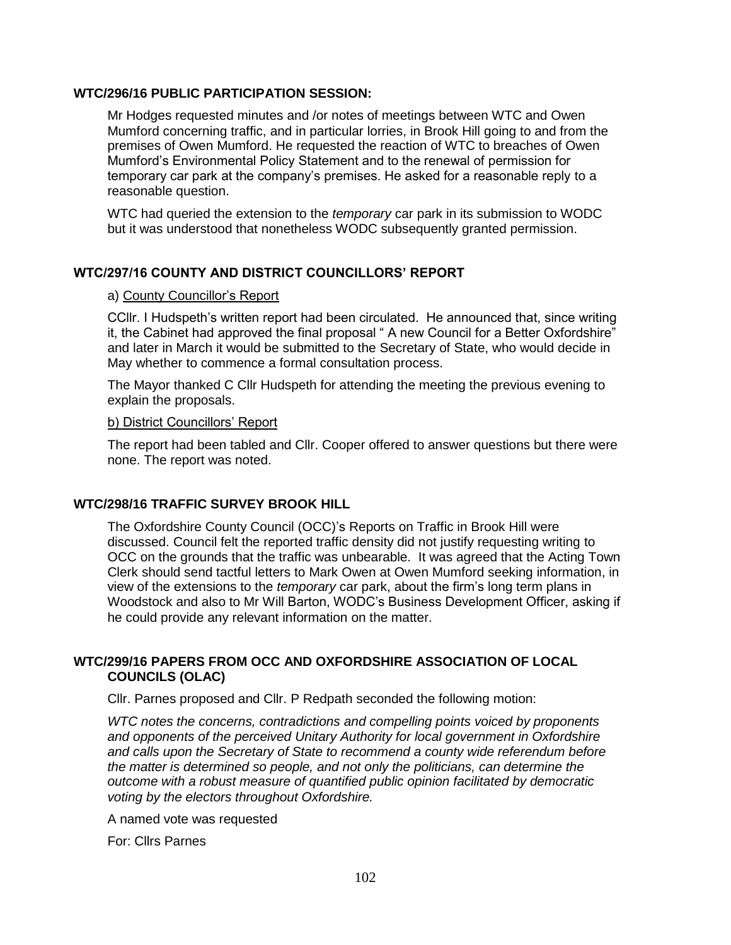#### **WTC/296/16 PUBLIC PARTICIPATION SESSION:**

Mr Hodges requested minutes and /or notes of meetings between WTC and Owen Mumford concerning traffic, and in particular lorries, in Brook Hill going to and from the premises of Owen Mumford. He requested the reaction of WTC to breaches of Owen Mumford's Environmental Policy Statement and to the renewal of permission for temporary car park at the company's premises. He asked for a reasonable reply to a reasonable question.

WTC had queried the extension to the *temporary* car park in its submission to WODC but it was understood that nonetheless WODC subsequently granted permission.

#### **WTC/297/16 COUNTY AND DISTRICT COUNCILLORS' REPORT**

#### a) County Councillor's Report

CCllr. I Hudspeth's written report had been circulated. He announced that, since writing it, the Cabinet had approved the final proposal " A new Council for a Better Oxfordshire" and later in March it would be submitted to the Secretary of State, who would decide in May whether to commence a formal consultation process.

The Mayor thanked C Cllr Hudspeth for attending the meeting the previous evening to explain the proposals.

#### b) District Councillors' Report

The report had been tabled and Cllr. Cooper offered to answer questions but there were none. The report was noted.

#### **WTC/298/16 TRAFFIC SURVEY BROOK HILL**

The Oxfordshire County Council (OCC)'s Reports on Traffic in Brook Hill were discussed. Council felt the reported traffic density did not justify requesting writing to OCC on the grounds that the traffic was unbearable. It was agreed that the Acting Town Clerk should send tactful letters to Mark Owen at Owen Mumford seeking information, in view of the extensions to the *temporary* car park, about the firm's long term plans in Woodstock and also to Mr Will Barton, WODC's Business Development Officer, asking if he could provide any relevant information on the matter.

#### **WTC/299/16 PAPERS FROM OCC AND OXFORDSHIRE ASSOCIATION OF LOCAL COUNCILS (OLAC)**

Cllr. Parnes proposed and Cllr. P Redpath seconded the following motion:

*WTC notes the concerns, contradictions and compelling points voiced by proponents and opponents of the perceived Unitary Authority for local government in Oxfordshire and calls upon the Secretary of State to recommend a county wide referendum before the matter is determined so people, and not only the politicians, can determine the outcome with a robust measure of quantified public opinion facilitated by democratic voting by the electors throughout Oxfordshire.*

A named vote was requested

For: Cllrs Parnes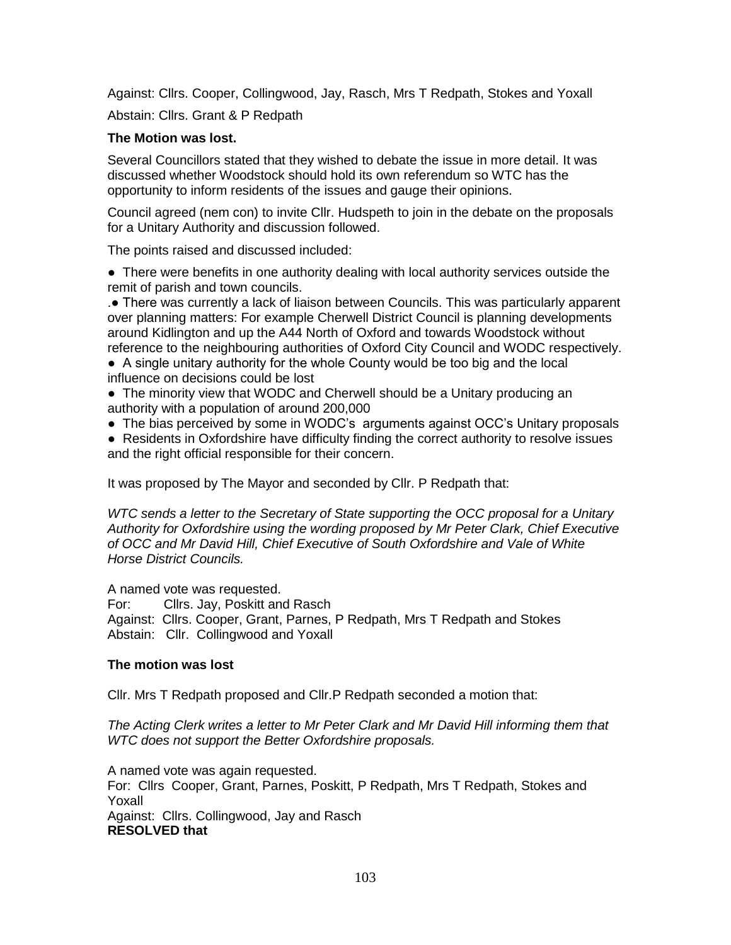Against: Cllrs. Cooper, Collingwood, Jay, Rasch, Mrs T Redpath, Stokes and Yoxall Abstain: Cllrs. Grant & P Redpath

#### **The Motion was lost.**

Several Councillors stated that they wished to debate the issue in more detail. It was discussed whether Woodstock should hold its own referendum so WTC has the opportunity to inform residents of the issues and gauge their opinions.

Council agreed (nem con) to invite Cllr. Hudspeth to join in the debate on the proposals for a Unitary Authority and discussion followed.

The points raised and discussed included:

• There were benefits in one authority dealing with local authority services outside the remit of parish and town councils.

.● There was currently a lack of liaison between Councils. This was particularly apparent over planning matters: For example Cherwell District Council is planning developments around Kidlington and up the A44 North of Oxford and towards Woodstock without reference to the neighbouring authorities of Oxford City Council and WODC respectively.

● A single unitary authority for the whole County would be too big and the local influence on decisions could be lost

• The minority view that WODC and Cherwell should be a Unitary producing an authority with a population of around 200,000

- The bias perceived by some in WODC's arguments against OCC's Unitary proposals
- Residents in Oxfordshire have difficulty finding the correct authority to resolve issues and the right official responsible for their concern.

It was proposed by The Mayor and seconded by Cllr. P Redpath that:

*WTC sends a letter to the Secretary of State supporting the OCC proposal for a Unitary Authority for Oxfordshire using the wording proposed by Mr Peter Clark, Chief Executive of OCC and Mr David Hill, Chief Executive of South Oxfordshire and Vale of White Horse District Councils.*

A named vote was requested. For: Cllrs. Jay, Poskitt and Rasch Against: Cllrs. Cooper, Grant, Parnes, P Redpath, Mrs T Redpath and Stokes Abstain: Cllr. Collingwood and Yoxall

#### **The motion was lost**

Cllr. Mrs T Redpath proposed and Cllr.P Redpath seconded a motion that:

*The Acting Clerk writes a letter to Mr Peter Clark and Mr David Hill informing them that WTC does not support the Better Oxfordshire proposals.*

A named vote was again requested. For: Cllrs Cooper, Grant, Parnes, Poskitt, P Redpath, Mrs T Redpath, Stokes and Yoxall

Against: Cllrs. Collingwood, Jay and Rasch **RESOLVED that**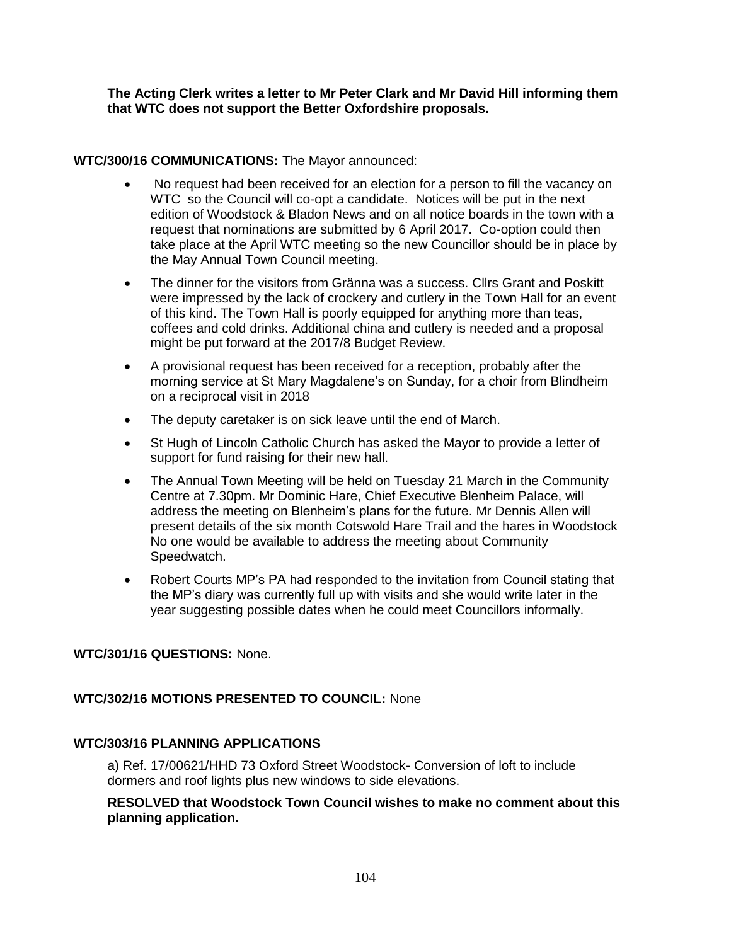**The Acting Clerk writes a letter to Mr Peter Clark and Mr David Hill informing them that WTC does not support the Better Oxfordshire proposals.**

#### **WTC/300/16 COMMUNICATIONS:** The Mayor announced:

- No request had been received for an election for a person to fill the vacancy on WTC so the Council will co-opt a candidate. Notices will be put in the next edition of Woodstock & Bladon News and on all notice boards in the town with a request that nominations are submitted by 6 April 2017. Co-option could then take place at the April WTC meeting so the new Councillor should be in place by the May Annual Town Council meeting.
- The dinner for the visitors from Gränna was a success. Cllrs Grant and Poskitt were impressed by the lack of crockery and cutlery in the Town Hall for an event of this kind. The Town Hall is poorly equipped for anything more than teas, coffees and cold drinks. Additional china and cutlery is needed and a proposal might be put forward at the 2017/8 Budget Review.
- A provisional request has been received for a reception, probably after the morning service at St Mary Magdalene's on Sunday, for a choir from Blindheim on a reciprocal visit in 2018
- The deputy caretaker is on sick leave until the end of March.
- St Hugh of Lincoln Catholic Church has asked the Mayor to provide a letter of support for fund raising for their new hall.
- The Annual Town Meeting will be held on Tuesday 21 March in the Community Centre at 7.30pm. Mr Dominic Hare, Chief Executive Blenheim Palace, will address the meeting on Blenheim's plans for the future. Mr Dennis Allen will present details of the six month Cotswold Hare Trail and the hares in Woodstock No one would be available to address the meeting about Community Speedwatch.
- Robert Courts MP's PA had responded to the invitation from Council stating that the MP's diary was currently full up with visits and she would write later in the year suggesting possible dates when he could meet Councillors informally.

### **WTC/301/16 QUESTIONS:** None.

### **WTC/302/16 MOTIONS PRESENTED TO COUNCIL:** None

#### **WTC/303/16 PLANNING APPLICATIONS**

a) Ref. 17/00621/HHD 73 Oxford Street Woodstock- Conversion of loft to include dormers and roof lights plus new windows to side elevations.

#### **RESOLVED that Woodstock Town Council wishes to make no comment about this planning application.**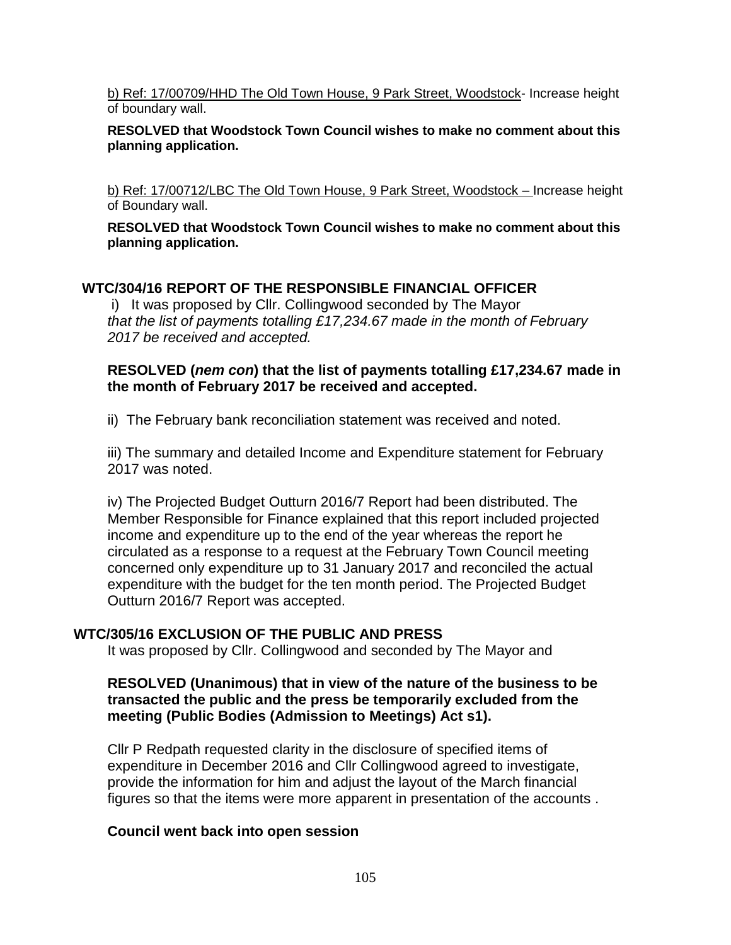b) Ref: 17/00709/HHD The Old Town House, 9 Park Street, Woodstock- Increase height of boundary wall.

#### **RESOLVED that Woodstock Town Council wishes to make no comment about this planning application.**

b) Ref: 17/00712/LBC The Old Town House, 9 Park Street, Woodstock – Increase height of Boundary wall.

#### **RESOLVED that Woodstock Town Council wishes to make no comment about this planning application.**

## **WTC/304/16 REPORT OF THE RESPONSIBLE FINANCIAL OFFICER**

i) It was proposed by Cllr. Collingwood seconded by The Mayor *that the list of payments totalling £17,234.67 made in the month of February 2017 be received and accepted.*

### **RESOLVED (***nem con***) that the list of payments totalling £17,234.67 made in the month of February 2017 be received and accepted.**

ii) The February bank reconciliation statement was received and noted.

iii) The summary and detailed Income and Expenditure statement for February 2017 was noted.

iv) The Projected Budget Outturn 2016/7 Report had been distributed. The Member Responsible for Finance explained that this report included projected income and expenditure up to the end of the year whereas the report he circulated as a response to a request at the February Town Council meeting concerned only expenditure up to 31 January 2017 and reconciled the actual expenditure with the budget for the ten month period. The Projected Budget Outturn 2016/7 Report was accepted.

### **WTC/305/16 EXCLUSION OF THE PUBLIC AND PRESS**

It was proposed by Cllr. Collingwood and seconded by The Mayor and

#### **RESOLVED (Unanimous) that in view of the nature of the business to be transacted the public and the press be temporarily excluded from the meeting (Public Bodies (Admission to Meetings) Act s1).**

Cllr P Redpath requested clarity in the disclosure of specified items of expenditure in December 2016 and Cllr Collingwood agreed to investigate, provide the information for him and adjust the layout of the March financial figures so that the items were more apparent in presentation of the accounts .

#### **Council went back into open session**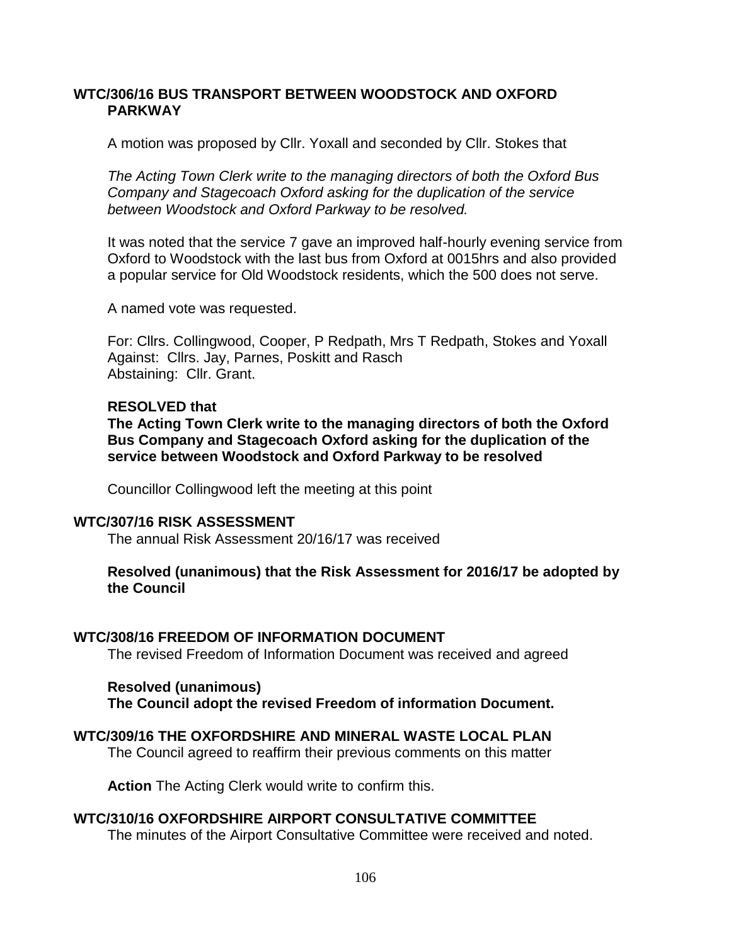### **WTC/306/16 BUS TRANSPORT BETWEEN WOODSTOCK AND OXFORD PARKWAY**

A motion was proposed by Cllr. Yoxall and seconded by Cllr. Stokes that

*The Acting Town Clerk write to the managing directors of both the Oxford Bus Company and Stagecoach Oxford asking for the duplication of the service between Woodstock and Oxford Parkway to be resolved.*

It was noted that the service 7 gave an improved half-hourly evening service from Oxford to Woodstock with the last bus from Oxford at 0015hrs and also provided a popular service for Old Woodstock residents, which the 500 does not serve.

A named vote was requested.

For: Cllrs. Collingwood, Cooper, P Redpath, Mrs T Redpath, Stokes and Yoxall Against: Cllrs. Jay, Parnes, Poskitt and Rasch Abstaining: Cllr. Grant.

### **RESOLVED that**

**The Acting Town Clerk write to the managing directors of both the Oxford Bus Company and Stagecoach Oxford asking for the duplication of the service between Woodstock and Oxford Parkway to be resolved**

Councillor Collingwood left the meeting at this point

### **WTC/307/16 RISK ASSESSMENT**

The annual Risk Assessment 20/16/17 was received

### **Resolved (unanimous) that the Risk Assessment for 2016/17 be adopted by the Council**

### **WTC/308/16 FREEDOM OF INFORMATION DOCUMENT**

The revised Freedom of Information Document was received and agreed

### **Resolved (unanimous)**

**The Council adopt the revised Freedom of information Document.**

# **WTC/309/16 THE OXFORDSHIRE AND MINERAL WASTE LOCAL PLAN**

The Council agreed to reaffirm their previous comments on this matter

**Action** The Acting Clerk would write to confirm this.

### **WTC/310/16 OXFORDSHIRE AIRPORT CONSULTATIVE COMMITTEE**

The minutes of the Airport Consultative Committee were received and noted.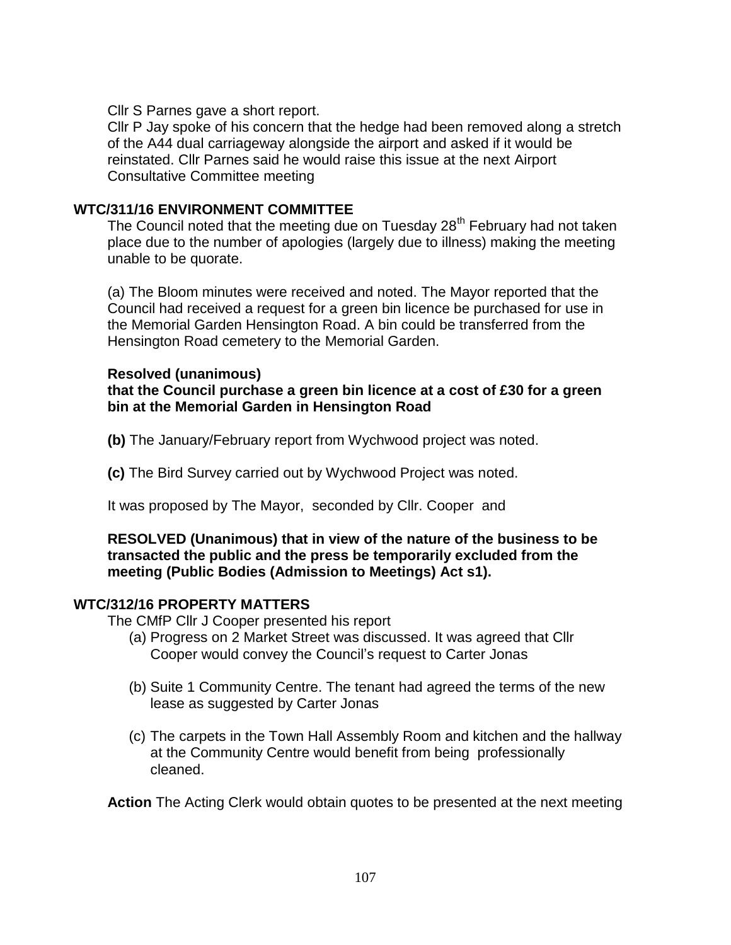Cllr S Parnes gave a short report.

Cllr P Jay spoke of his concern that the hedge had been removed along a stretch of the A44 dual carriageway alongside the airport and asked if it would be reinstated. Cllr Parnes said he would raise this issue at the next Airport Consultative Committee meeting

### **WTC/311/16 ENVIRONMENT COMMITTEE**

The Council noted that the meeting due on Tuesday 28<sup>th</sup> February had not taken place due to the number of apologies (largely due to illness) making the meeting unable to be quorate.

(a) The Bloom minutes were received and noted. The Mayor reported that the Council had received a request for a green bin licence be purchased for use in the Memorial Garden Hensington Road. A bin could be transferred from the Hensington Road cemetery to the Memorial Garden.

### **Resolved (unanimous)**

**that the Council purchase a green bin licence at a cost of £30 for a green bin at the Memorial Garden in Hensington Road** 

- **(b)** The January/February report from Wychwood project was noted.
- **(c)** The Bird Survey carried out by Wychwood Project was noted.

It was proposed by The Mayor, seconded by Cllr. Cooper and

### **RESOLVED (Unanimous) that in view of the nature of the business to be transacted the public and the press be temporarily excluded from the meeting (Public Bodies (Admission to Meetings) Act s1).**

# **WTC/312/16 PROPERTY MATTERS**

The CMfP Cllr J Cooper presented his report

- (a) Progress on 2 Market Street was discussed. It was agreed that Cllr Cooper would convey the Council's request to Carter Jonas
- (b) Suite 1 Community Centre. The tenant had agreed the terms of the new lease as suggested by Carter Jonas
- (c) The carpets in the Town Hall Assembly Room and kitchen and the hallway at the Community Centre would benefit from being professionally cleaned.

**Action** The Acting Clerk would obtain quotes to be presented at the next meeting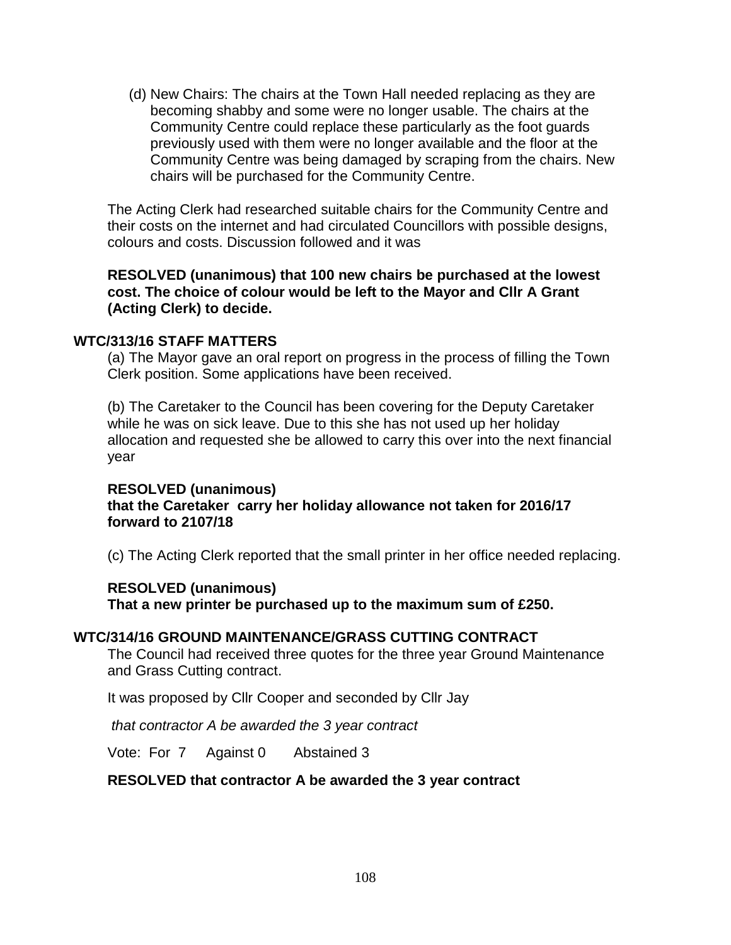(d) New Chairs: The chairs at the Town Hall needed replacing as they are becoming shabby and some were no longer usable. The chairs at the Community Centre could replace these particularly as the foot guards previously used with them were no longer available and the floor at the Community Centre was being damaged by scraping from the chairs. New chairs will be purchased for the Community Centre.

The Acting Clerk had researched suitable chairs for the Community Centre and their costs on the internet and had circulated Councillors with possible designs, colours and costs. Discussion followed and it was

### **RESOLVED (unanimous) that 100 new chairs be purchased at the lowest cost. The choice of colour would be left to the Mayor and Cllr A Grant (Acting Clerk) to decide.**

### **WTC/313/16 STAFF MATTERS**

(a) The Mayor gave an oral report on progress in the process of filling the Town Clerk position. Some applications have been received.

(b) The Caretaker to the Council has been covering for the Deputy Caretaker while he was on sick leave. Due to this she has not used up her holiday allocation and requested she be allowed to carry this over into the next financial year

#### **RESOLVED (unanimous) that the Caretaker carry her holiday allowance not taken for 2016/17 forward to 2107/18**

(c) The Acting Clerk reported that the small printer in her office needed replacing.

#### **RESOLVED (unanimous)**

**That a new printer be purchased up to the maximum sum of £250.**

#### **WTC/314/16 GROUND MAINTENANCE/GRASS CUTTING CONTRACT**

The Council had received three quotes for the three year Ground Maintenance and Grass Cutting contract.

It was proposed by Cllr Cooper and seconded by Cllr Jay

*that contractor A be awarded the 3 year contract* 

Vote: For 7 Against 0 Abstained 3

#### **RESOLVED that contractor A be awarded the 3 year contract**